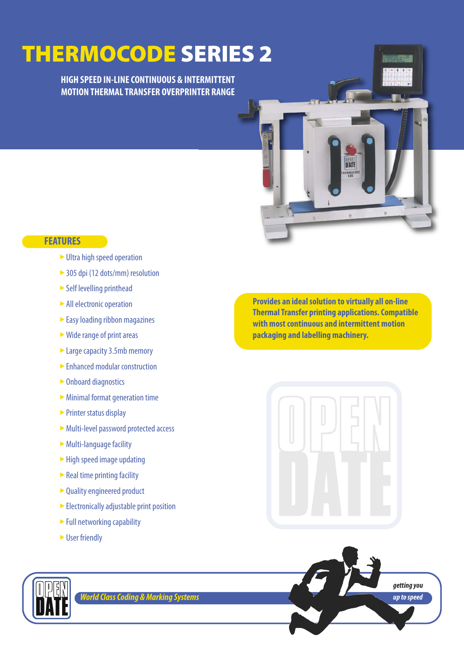**HIGH SPEED IN-LINE CONTINUOUS & INTERMITTENT MOTION THERMAL TRANSFER OVERPRINTER RANGE**

## **FEATURES**

- ► Ultra high speed operation
- ▶ 305 dpi (12 dots/mm) resolution
- Self levelling printhead
- ightharpoonup All electronic operation
- ► Easy loading ribbon magazines
- ► Wide range of print areas
- ► Large capacity 3.5mb memory
- ► Enhanced modular construction
- ► Onboard diagnostics
- Minimal format generation time ‣
- ► Printer status display
- Multi-level password protected access ‣
- ► Multi-language facility
- ► High speed image updating
- ► Real time printing facility
- Quality engineered product
- Electronically adjustable print position
- ► Full networking capability
- ► User friendly

**Provides an ideal solution to virtually all on-line Thermal Transfer printing applications. Compatible with most continuous and intermittent motion packaging and labelling machinery.**

hat







*World Class Coding & Marking Systems*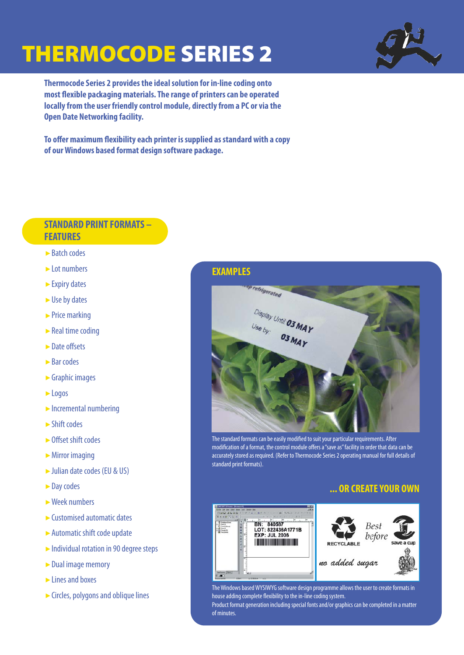

**Thermocode Series 2 provides the ideal solution for in-line coding onto most flexible packaging materials. The range of printers can be operated locally from the user friendly control module, directly from a PC or via the Open Date Networking facility.**

**To offer maximum flexibility each printer is supplied as standard with a copy of our Windows based format design software package.**

### **STANDARD PRINT FORMATS – FEATURES**

- ► Batch codes
- 
- Expiry dates ‣
- 
- $\triangleright$  Price marking
- $\blacktriangleright$  Real time coding
- ► Date offsets
- ► Bar codes
- Graphic images ‣
- ► Logos
- $\triangleright$  Incremental numbering
- ► Shift codes
- ► Offset shift codes
- $\triangleright$  Mirror imaging
- Julian date codes (EU & US) ‣
- ► Day codes
- $\triangleright$  Week numbers
- $\blacktriangleright$  Customised automatic dates
- Automatic shift code update ‣
- Individual rotation in 90 degree steps
- ► Dual image memory
- $\blacktriangleright$  Lines and boxes
- Circles, polygons and oblique lines ‣

#### **EXAMPLES**



The standard formats can be easily modified to suit your particular requirements. After modification of a format, the control module offers a "save as" facility in order that data can be accurately stored as required. (Refer to Thermocode Series 2 operating manual for full details of standard print formats).

#### **... OR CREATE YOUR OWN**





The Windows based WYSIWYG software design programme allows the user to create formats in house adding complete flexibility to the in-line coding system. Product format generation including special fonts and/or graphics can be completed in a matter of minutes.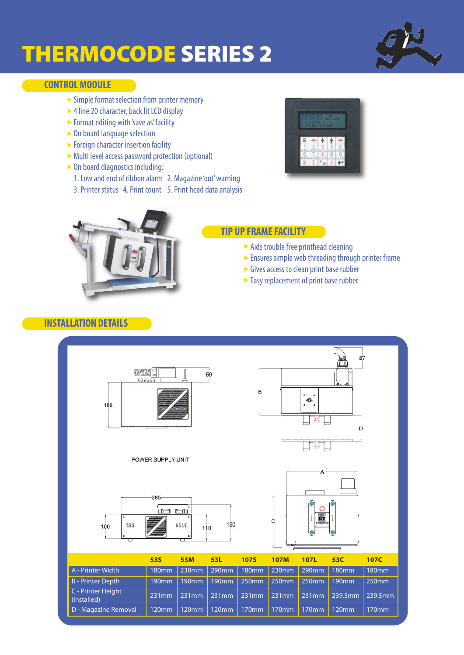

## **CONTROL MODULE**

- $\triangleright$  Simple format selection from printer memory<br> $\triangleright$  4 line 20 character back lit LCD display
- ► 4 line 20 character, back lit LCD display<br>► Format editing with 'save as' facility
- ► Format editing with 'save as' facility<br>► On board language selection
- ► On board language selection<br>► Foreign character insertion fa
- ► Foreign character insertion facility<br>► Multi level access password protect
- ► Multi level access password protection (optional)<br>► On board diagnostics including:
- On board diagnostics including:<br>1 Low and end of ribbon alarm
	- 1. Low and end of ribbon alarm 2. Magazine 'out' warning
- 3. Printer status 4. Print count 5. Print head data analysis





### **TIP UP FRAME FACILITY**

- ► Aids trouble free printhead cleaning
- ► Ensures simple web threading through printer frame
- ► Gives access to clean print base rubber
- Easy replacement of print base rubber

## **INSTALLATION DETAILS**